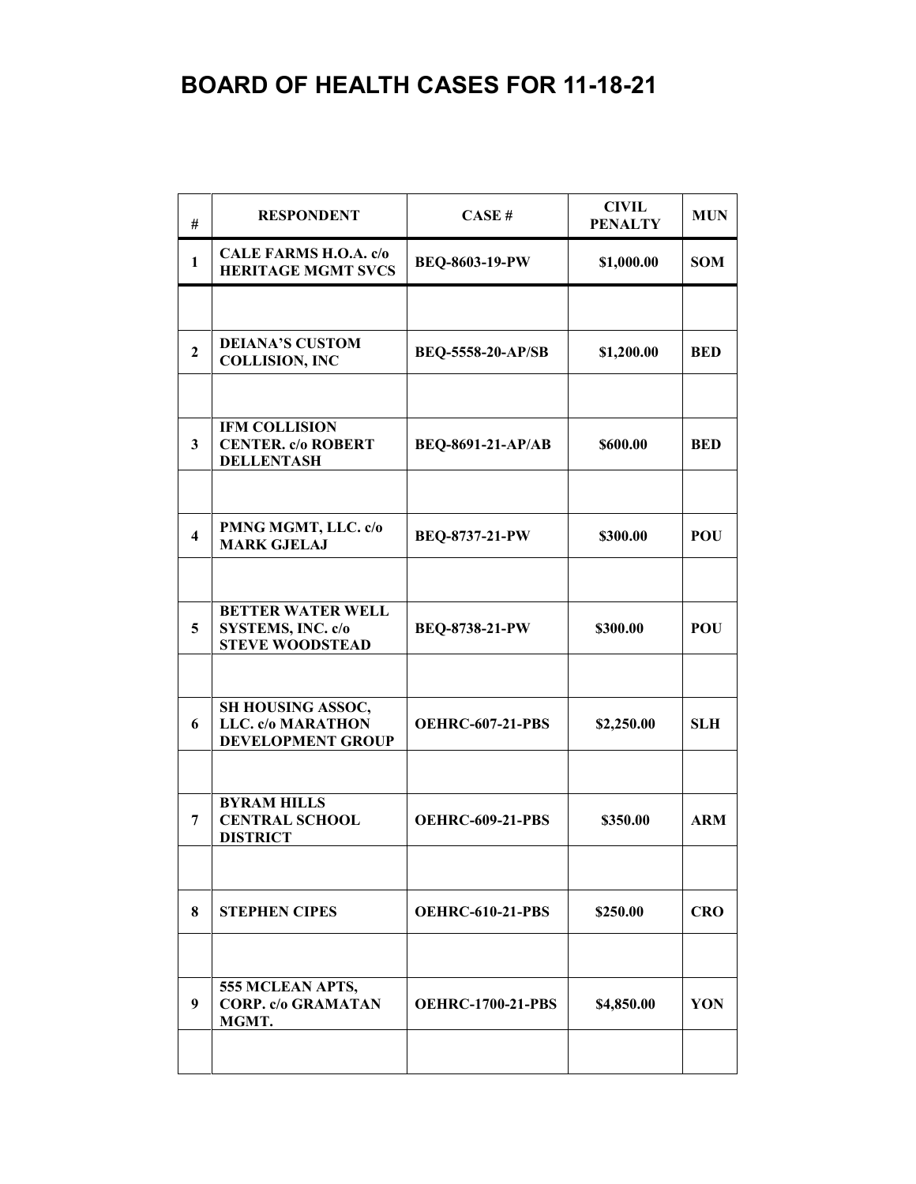| #                       | <b>RESPONDENT</b>                                                              | CASE#                    | <b>CIVIL</b><br><b>PENALTY</b> | <b>MUN</b> |
|-------------------------|--------------------------------------------------------------------------------|--------------------------|--------------------------------|------------|
| $\mathbf{1}$            | CALE FARMS H.O.A. c/o<br><b>HERITAGE MGMT SVCS</b>                             | <b>BEQ-8603-19-PW</b>    | \$1,000.00                     | <b>SOM</b> |
|                         |                                                                                |                          |                                |            |
| $\overline{2}$          | <b>DEIANA'S CUSTOM</b><br><b>COLLISION, INC</b>                                | <b>BEQ-5558-20-AP/SB</b> | \$1,200.00                     | <b>BED</b> |
|                         |                                                                                |                          |                                |            |
| 3                       | IFM COLLISION<br><b>CENTER. c/o ROBERT</b><br><b>DELLENTASH</b>                | <b>BEQ-8691-21-AP/AB</b> | \$600.00                       | <b>BED</b> |
|                         |                                                                                |                          |                                |            |
| $\overline{\mathbf{4}}$ | PMNG MGMT, LLC. c/o<br><b>MARK GJELAJ</b>                                      | BEQ-8737-21-PW           | \$300.00                       | <b>POU</b> |
|                         |                                                                                |                          |                                |            |
| 5                       | <b>BETTER WATER WELL</b><br><b>SYSTEMS, INC. c/o</b><br><b>STEVE WOODSTEAD</b> | <b>BEQ-8738-21-PW</b>    | \$300.00                       | <b>POU</b> |
|                         |                                                                                |                          |                                |            |
| 6                       | SH HOUSING ASSOC,<br>LLC. c/o MARATHON<br>DEVELOPMENT GROUP                    | <b>OEHRC-607-21-PBS</b>  | \$2,250.00                     | <b>SLH</b> |
|                         |                                                                                |                          |                                |            |
| 7                       | <b>BYRAM HILLS</b><br><b>CENTRAL SCHOOL</b><br><b>DISTRICT</b>                 | <b>OEHRC-609-21-PBS</b>  | \$350.00                       | <b>ARM</b> |
|                         |                                                                                |                          |                                |            |
| 8                       | <b>STEPHEN CIPES</b>                                                           | <b>OEHRC-610-21-PBS</b>  | \$250.00                       | <b>CRO</b> |
|                         |                                                                                |                          |                                |            |
| 9                       | 555 MCLEAN APTS,<br><b>CORP.</b> c/o GRAMATAN<br>MGMT.                         | <b>OEHRC-1700-21-PBS</b> | \$4,850.00                     | YON        |
|                         |                                                                                |                          |                                |            |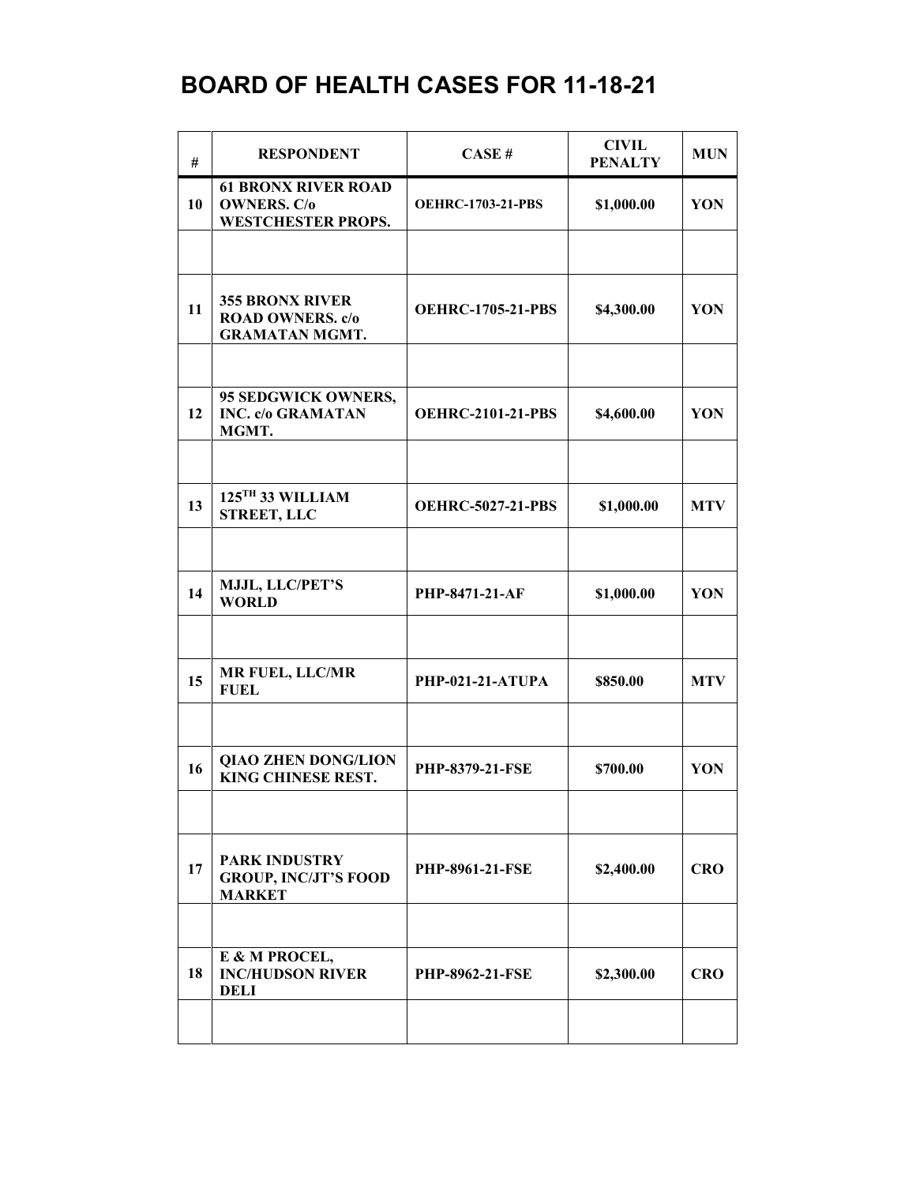| #  | <b>RESPONDENT</b>                                                             | CASE#                    | <b>CIVIL</b><br><b>PENALTY</b> | <b>MUN</b> |
|----|-------------------------------------------------------------------------------|--------------------------|--------------------------------|------------|
| 10 | <b>61 BRONX RIVER ROAD</b><br><b>OWNERS. C/o</b><br><b>WESTCHESTER PROPS.</b> | <b>OEHRC-1703-21-PBS</b> | \$1,000.00                     | YON        |
|    |                                                                               |                          |                                |            |
| 11 | <b>355 BRONX RIVER</b><br><b>ROAD OWNERS.</b> c/o<br><b>GRAMATAN MGMT.</b>    | <b>OEHRC-1705-21-PBS</b> | \$4,300.00                     | YON        |
|    |                                                                               |                          |                                |            |
| 12 | 95 SEDGWICK OWNERS,<br><b>INC. c/o GRAMATAN</b><br>MGMT.                      | <b>OEHRC-2101-21-PBS</b> | \$4,600.00                     | YON        |
|    |                                                                               |                          |                                |            |
| 13 | 125TH 33 WILLIAM<br><b>STREET, LLC</b>                                        | <b>OEHRC-5027-21-PBS</b> | \$1,000.00                     | <b>MTV</b> |
|    |                                                                               |                          |                                |            |
| 14 | MJJL, LLC/PET'S<br><b>WORLD</b>                                               | PHP-8471-21-AF           | \$1,000.00                     | YON        |
|    |                                                                               |                          |                                |            |
| 15 | <b>MR FUEL, LLC/MR</b><br><b>FUEL</b>                                         | PHP-021-21-ATUPA         | \$850.00                       | <b>MTV</b> |
|    |                                                                               |                          |                                |            |
| 16 | <b>QIAO ZHEN DONG/LION</b><br>KING CHINESE REST.                              | <b>PHP-8379-21-FSE</b>   | \$700.00                       | YON        |
|    |                                                                               |                          |                                |            |
| 17 | <b>PARK INDUSTRY</b><br><b>GROUP, INC/JT'S FOOD</b><br><b>MARKET</b>          | <b>PHP-8961-21-FSE</b>   | \$2,400.00                     | <b>CRO</b> |
|    |                                                                               |                          |                                |            |
| 18 | E & M PROCEL,<br><b>INC/HUDSON RIVER</b><br><b>DELI</b>                       | <b>PHP-8962-21-FSE</b>   | \$2,300.00                     | <b>CRO</b> |
|    |                                                                               |                          |                                |            |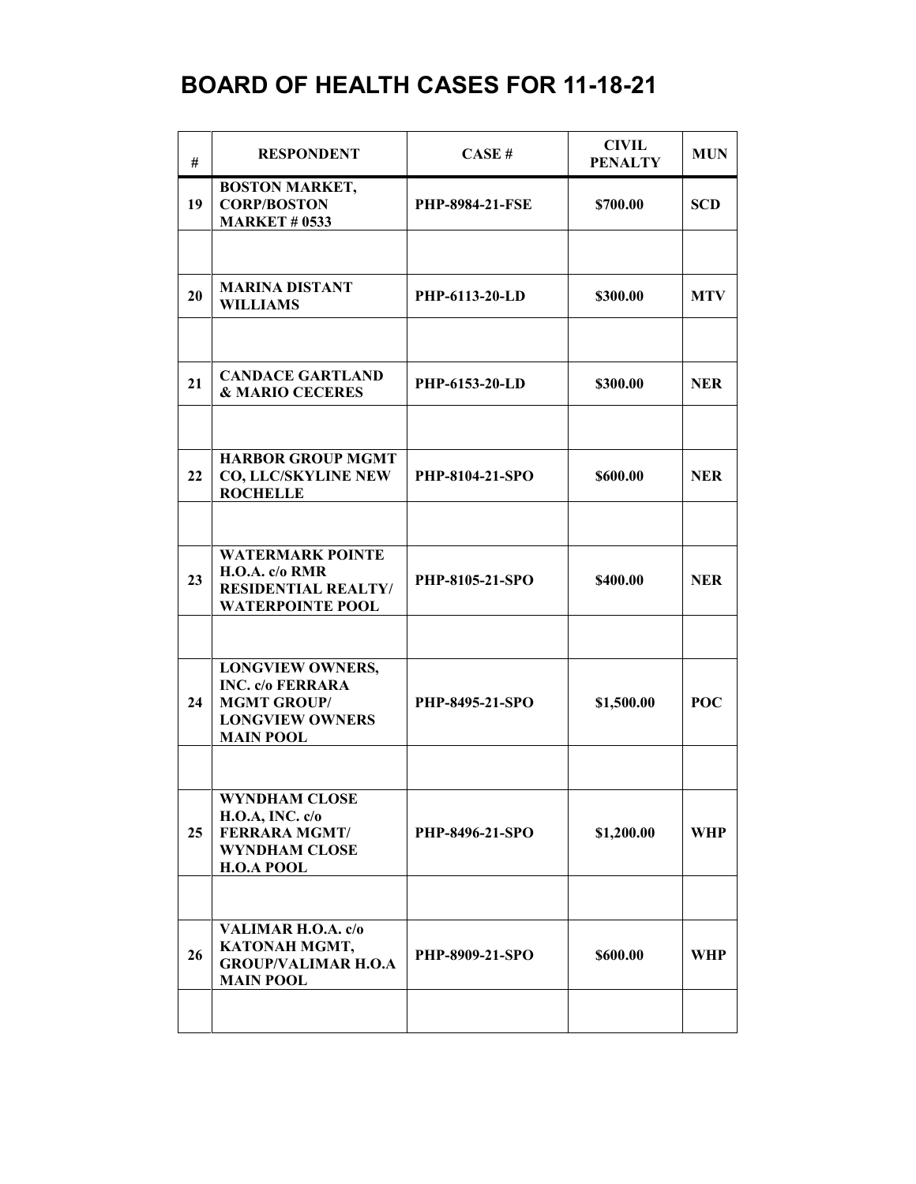| #  | <b>RESPONDENT</b>                                                                                                      | CASE#                  | <b>CIVIL</b><br><b>PENALTY</b> | <b>MUN</b> |
|----|------------------------------------------------------------------------------------------------------------------------|------------------------|--------------------------------|------------|
| 19 | <b>BOSTON MARKET,</b><br><b>CORP/BOSTON</b><br><b>MARKET # 0533</b>                                                    | <b>PHP-8984-21-FSE</b> | \$700.00                       | <b>SCD</b> |
|    |                                                                                                                        |                        |                                |            |
| 20 | <b>MARINA DISTANT</b><br><b>WILLIAMS</b>                                                                               | PHP-6113-20-LD         | \$300.00                       | <b>MTV</b> |
|    |                                                                                                                        |                        |                                |            |
| 21 | <b>CANDACE GARTLAND</b><br>& MARIO CECERES                                                                             | PHP-6153-20-LD         | \$300.00                       | <b>NER</b> |
|    |                                                                                                                        |                        |                                |            |
| 22 | <b>HARBOR GROUP MGMT</b><br><b>CO, LLC/SKYLINE NEW</b><br><b>ROCHELLE</b>                                              | <b>PHP-8104-21-SPO</b> | \$600.00                       | <b>NER</b> |
|    |                                                                                                                        |                        |                                |            |
| 23 | <b>WATERMARK POINTE</b><br>H.O.A. c/o RMR<br><b>RESIDENTIAL REALTY/</b><br><b>WATERPOINTE POOL</b>                     | PHP-8105-21-SPO        | \$400.00                       | <b>NER</b> |
|    |                                                                                                                        |                        |                                |            |
| 24 | <b>LONGVIEW OWNERS,</b><br><b>INC. c/o FERRARA</b><br><b>MGMT GROUP/</b><br><b>LONGVIEW OWNERS</b><br><b>MAIN POOL</b> | <b>PHP-8495-21-SPO</b> | \$1,500.00                     | POC        |
|    |                                                                                                                        |                        |                                |            |
| 25 | <b>WYNDHAM CLOSE</b><br><b>H.O.A, INC. c/o</b><br><b>FERRARA MGMT/</b><br><b>WYNDHAM CLOSE</b><br><b>H.O.A POOL</b>    | PHP-8496-21-SPO        | \$1,200.00                     | WHP        |
|    |                                                                                                                        |                        |                                |            |
| 26 | VALIMAR H.O.A. c/o<br>KATONAH MGMT,<br><b>GROUP/VALIMAR H.O.A</b><br><b>MAIN POOL</b>                                  | PHP-8909-21-SPO        | \$600.00                       | WHP        |
|    |                                                                                                                        |                        |                                |            |